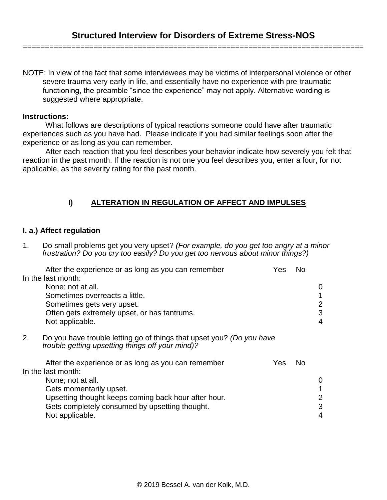NOTE: In view of the fact that some interviewees may be victims of interpersonal violence or other severe trauma very early in life, and essentially have no experience with pre-traumatic functioning, the preamble "since the experience" may not apply. Alternative wording is suggested where appropriate.

#### **Instructions:**

What follows are descriptions of typical reactions someone could have after traumatic experiences such as you have had. Please indicate if you had similar feelings soon after the experience or as long as you can remember.

After each reaction that you feel describes your behavior indicate how severely you felt that reaction in the past month. If the reaction is not one you feel describes you, enter a four, for not applicable, as the severity rating for the past month.

# **I) ALTERATION IN REGULATION OF AFFECT AND IMPULSES**

### **I. a.) Affect regulation**

1. Do small problems get you very upset? *(For example, do you get too angry at a minor frustration? Do you cry too easily? Do you get too nervous about minor things?)*

|    | After the experience or as long as you can remember                                                                       | Yes | Nο        |                |
|----|---------------------------------------------------------------------------------------------------------------------------|-----|-----------|----------------|
|    | In the last month:                                                                                                        |     |           |                |
|    | None; not at all.                                                                                                         |     |           | 0              |
|    | Sometimes overreacts a little.                                                                                            |     |           | 1              |
|    | Sometimes gets very upset.                                                                                                |     |           | $\overline{2}$ |
|    | Often gets extremely upset, or has tantrums.                                                                              |     |           | 3              |
|    | Not applicable.                                                                                                           |     |           | 4              |
|    |                                                                                                                           |     |           |                |
| 2. | Do you have trouble letting go of things that upset you? (Do you have<br>trouble getting upsetting things off your mind)? |     |           |                |
|    | After the experience or as long as you can remember                                                                       | Yes | <b>No</b> |                |
|    | In the last month:                                                                                                        |     |           |                |
|    | None; not at all.                                                                                                         |     |           | 0              |
|    | Gets momentarily upset.                                                                                                   |     |           | 1              |
|    | Upsetting thought keeps coming back hour after hour.                                                                      |     |           | 2              |
|    | Gets completely consumed by upsetting thought.                                                                            |     |           | 3              |
|    | Not applicable.                                                                                                           |     |           | 4              |
|    |                                                                                                                           |     |           |                |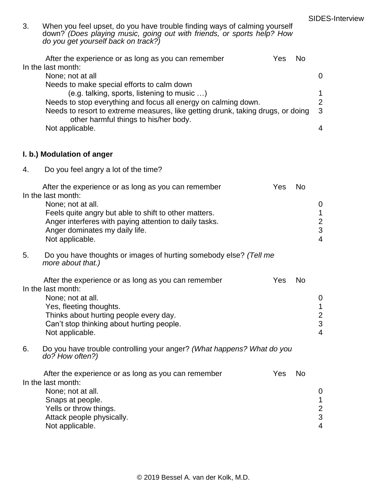| 3. | When you feel upset, do you have trouble finding ways of calming yourself<br>down? (Does playing music, going out with friends, or sports help? How<br>do you get yourself back on track?) |            |          |  |  |  |
|----|--------------------------------------------------------------------------------------------------------------------------------------------------------------------------------------------|------------|----------|--|--|--|
|    | After the experience or as long as you can remember<br>In the last month:                                                                                                                  | No<br>Yes. |          |  |  |  |
|    | None; not at all                                                                                                                                                                           |            | $\Omega$ |  |  |  |
|    | Needs to make special efforts to calm down                                                                                                                                                 |            |          |  |  |  |
|    | (e.g. talking, sports, listening to music )                                                                                                                                                |            | 1        |  |  |  |

|                 |  |                                       | Needs to stop everything and focus all energy on calming down. |                                                                                 |                          |
|-----------------|--|---------------------------------------|----------------------------------------------------------------|---------------------------------------------------------------------------------|--------------------------|
|                 |  |                                       |                                                                | Needs to resort to extreme measures, like getting drunk, taking drugs, or doing | - 3                      |
|                 |  | other harmful things to his/her body. |                                                                |                                                                                 |                          |
| Not applicable. |  |                                       |                                                                |                                                                                 | $\boldsymbol{\varDelta}$ |

# **I. b.) Modulation of anger**

4. Do you feel angry a lot of the time?

| After the experience or as long as you can remember    | Yes | N <sub>0</sub> |   |
|--------------------------------------------------------|-----|----------------|---|
| In the last month:                                     |     |                |   |
| None; not at all.                                      |     |                | 0 |
| Feels quite angry but able to shift to other matters.  |     |                | 1 |
| Anger interferes with paying attention to daily tasks. |     |                | 2 |
| Anger dominates my daily life.                         |     |                | 3 |
| Not applicable.                                        |     |                | 4 |

5. Do you have thoughts or images of hurting somebody else? *(Tell me more about that.)*

| After the experience or as long as you can remember | Yes | N <sub>0</sub> |   |
|-----------------------------------------------------|-----|----------------|---|
| In the last month:                                  |     |                |   |
| None; not at all.                                   |     |                | 0 |
| Yes, fleeting thoughts.                             |     |                |   |
| Thinks about hurting people every day.              |     |                | 2 |
| Can't stop thinking about hurting people.           |     |                | 3 |
| Not applicable.                                     |     |                | 4 |

6. Do you have trouble controlling your anger? *(What happens? What do you do? How often?)*

| After the experience or as long as you can remember | Yes | No |                |
|-----------------------------------------------------|-----|----|----------------|
| In the last month:                                  |     |    |                |
| None; not at all.                                   |     |    | 0              |
| Snaps at people.                                    |     |    |                |
| Yells or throw things.                              |     |    | $\overline{2}$ |
| Attack people physically.                           |     |    | 3              |
| Not applicable.                                     |     |    | 4              |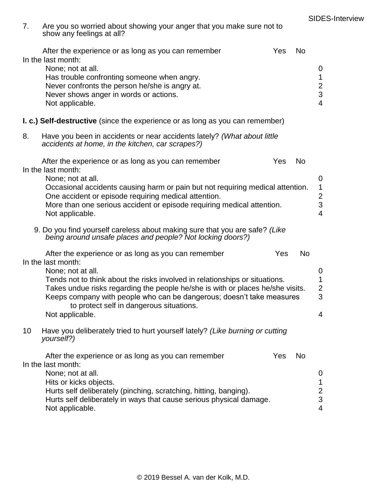| 7. | Are you so worried about showing your anger that you make sure not to<br>show any feelings at all?                                                                                                                                                                                                                                                                                                      |     |                |                                                                |
|----|---------------------------------------------------------------------------------------------------------------------------------------------------------------------------------------------------------------------------------------------------------------------------------------------------------------------------------------------------------------------------------------------------------|-----|----------------|----------------------------------------------------------------|
|    | After the experience or as long as you can remember<br>In the last month:<br>None; not at all.<br>Has trouble confronting someone when angry.<br>Never confronts the person he/she is angry at.<br>Never shows anger in words or actions.<br>Not applicable.                                                                                                                                            | Yes | N <sub>o</sub> | $\mathbf 0$<br>$\mathbf{1}$<br>$\frac{2}{3}$<br>$\overline{4}$ |
|    | <b>I. c.) Self-destructive</b> (since the experience or as long as you can remember)                                                                                                                                                                                                                                                                                                                    |     |                |                                                                |
| 8. | Have you been in accidents or near accidents lately? (What about little<br>accidents at home, in the kitchen, car scrapes?)                                                                                                                                                                                                                                                                             |     |                |                                                                |
|    | After the experience or as long as you can remember<br>In the last month:<br>None; not at all.<br>Occasional accidents causing harm or pain but not requiring medical attention.<br>One accident or episode requiring medical attention.<br>More than one serious accident or episode requiring medical attention.<br>Not applicable.                                                                   | Yes | <b>No</b>      | $\mathbf 0$<br>1<br>$\overline{c}$<br>3<br>$\overline{4}$      |
|    | 9. Do you find yourself careless about making sure that you are safe? (Like<br>being around unsafe places and people? Not locking doors?)                                                                                                                                                                                                                                                               |     |                |                                                                |
|    | After the experience or as long as you can remember<br>In the last month:<br>None; not at all.<br>Tends not to think about the risks involved in relationships or situations.<br>Takes undue risks regarding the people he/she is with or places he/she visits.<br>Keeps company with people who can be dangerous; doesn't take measures<br>to protect self in dangerous situations.<br>Not applicable. | Yes | <b>No</b>      | $\mathbf 0$<br>1<br>$\overline{2}$<br>3<br>4                   |
| 10 | Have you deliberately tried to hurt yourself lately? (Like burning or cutting<br>yourself?)                                                                                                                                                                                                                                                                                                             |     |                |                                                                |
|    | After the experience or as long as you can remember<br>In the last month:<br>None; not at all.<br>Hits or kicks objects.<br>Hurts self deliberately (pinching, scratching, hitting, banging).<br>Hurts self deliberately in ways that cause serious physical damage.<br>Not applicable.                                                                                                                 | Yes | N <sub>o</sub> | $\mathbf 0$<br>$\mathbf{1}$<br>$\frac{2}{3}$<br>4              |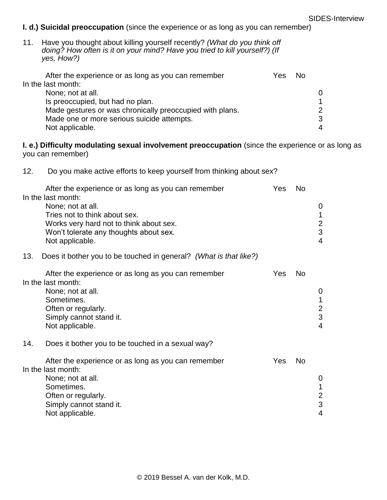# **I. d.) Suicidal preoccupation** (since the experience or as long as you can remember)

11. Have you thought about killing yourself recently? *(What do you think off doing? How often is it on your mind? Have you tried to kill yourself?) (If yes, How?)*

| After the experience or as long as you can remember      | Yes. | No. |   |
|----------------------------------------------------------|------|-----|---|
| In the last month:                                       |      |     |   |
| None; not at all.                                        |      |     |   |
| Is preoccupied, but had no plan.                         |      |     |   |
| Made gestures or was chronically preoccupied with plans. |      |     | ◠ |
| Made one or more serious suicide attempts.               |      |     | 3 |
| Not applicable.                                          |      |     |   |

**I. e.) Difficulty modulating sexual involvement preoccupation** (since the experience or as long as you can remember)

| 12. | Do you make active efforts to keep yourself from thinking about sex? |  |  |  |  |
|-----|----------------------------------------------------------------------|--|--|--|--|
|     |                                                                      |  |  |  |  |

| After the experience or as long as you can remember | Yes | N٥ |   |
|-----------------------------------------------------|-----|----|---|
| In the last month:                                  |     |    |   |
| None; not at all.                                   |     |    | 0 |
| Tries not to think about sex.                       |     |    |   |
| Works very hard not to think about sex.             |     |    | 2 |
| Won't tolerate any thoughts about sex.              |     |    | 3 |
| Not applicable.                                     |     |    | 4 |

13. Does it bother you to be touched in general? *(What is that like?)*

| After the experience or as long as you can remember | Yes | Nο |   |
|-----------------------------------------------------|-----|----|---|
| In the last month:                                  |     |    |   |
| None; not at all.                                   |     |    | 0 |
| Sometimes.                                          |     |    |   |
| Often or regularly.                                 |     |    | 2 |
| Simply cannot stand it.                             |     |    | 3 |
| Not applicable.                                     |     |    | Δ |

14. Does it bother you to be touched in a sexual way?

| After the experience or as long as you can remember | Yes | No |   |
|-----------------------------------------------------|-----|----|---|
| In the last month:                                  |     |    |   |
| None; not at all.                                   |     |    | 0 |
| Sometimes.                                          |     |    |   |
| Often or regularly.                                 |     |    | 2 |
| Simply cannot stand it.                             |     |    | 3 |
| Not applicable.                                     |     |    | 4 |
|                                                     |     |    |   |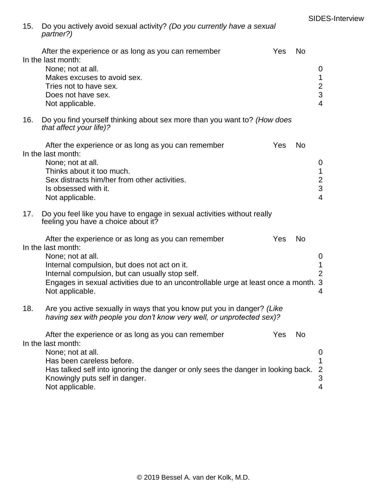15. Do you actively avoid sexual activity? *(Do you currently have a sexual partner?)*

|     | After the experience or as long as you can remember                                                                                                                                                                                                                                                         | Yes | <b>No</b> |                                                                |
|-----|-------------------------------------------------------------------------------------------------------------------------------------------------------------------------------------------------------------------------------------------------------------------------------------------------------------|-----|-----------|----------------------------------------------------------------|
|     | In the last month:<br>None; not at all.<br>Makes excuses to avoid sex.<br>Tries not to have sex.<br>Does not have sex.<br>Not applicable.                                                                                                                                                                   |     |           | $\mathbf 0$<br>$\mathbf{1}$<br>$\frac{2}{3}$<br>$\overline{4}$ |
| 16. | Do you find yourself thinking about sex more than you want to? (How does<br>that affect your life)?                                                                                                                                                                                                         |     |           |                                                                |
|     | After the experience or as long as you can remember<br>In the last month:<br>None; not at all.<br>Thinks about it too much.<br>Sex distracts him/her from other activities.<br>Is obsessed with it.<br>Not applicable.                                                                                      | Yes | <b>No</b> | 0<br>1<br>$\frac{2}{3}$<br>$\overline{4}$                      |
| 17. | Do you feel like you have to engage in sexual activities without really<br>feeling you have a choice about it?                                                                                                                                                                                              |     |           |                                                                |
|     | After the experience or as long as you can remember<br>In the last month:<br>None; not at all.<br>Internal compulsion, but does not act on it.<br>Internal compulsion, but can usually stop self.<br>Engages in sexual activities due to an uncontrollable urge at least once a month. 3<br>Not applicable. | Yes | <b>No</b> | 0<br>1<br>$\overline{2}$<br>4                                  |
| 18. | Are you active sexually in ways that you know put you in danger? (Like<br>having sex with people you don't know very well, or unprotected sex)?                                                                                                                                                             |     |           |                                                                |
|     | After the experience or as long as you can remember<br>In the last month:<br>None; not at all.<br>Has been careless before.<br>Has talked self into ignoring the danger or only sees the danger in looking back.<br>Knowingly puts self in danger.<br>Not applicable.                                       | Yes | <b>No</b> | 0<br>1<br>$\overline{2}$<br>3<br>4                             |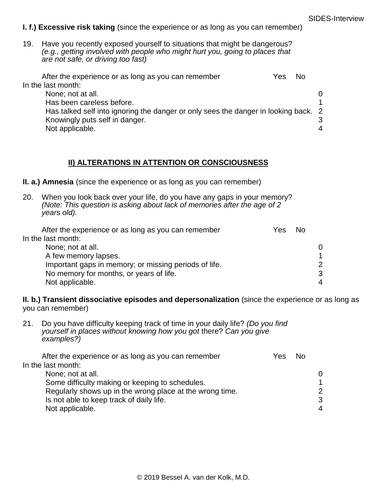#### **I. f.) Excessive risk taking** (since the experience or as long as you can remember)

19. Have you recently exposed yourself to situations that might be dangerous? *(e.g., getting involved with people who might hurt you, going to places that are not safe, or driving too fast)*

| Yes | Nο |                                                                                     |
|-----|----|-------------------------------------------------------------------------------------|
|     |    |                                                                                     |
|     |    | ∩                                                                                   |
|     |    |                                                                                     |
|     |    |                                                                                     |
|     |    | 3                                                                                   |
|     |    |                                                                                     |
|     |    | Has talked self into ignoring the danger or only sees the danger in looking back. 2 |

#### **II) ALTERATIONS IN ATTENTION OR CONSCIOUSNESS**

**II. a.) Amnesia** (since the experience or as long as you can remember)

20. When you look back over your life, do you have any gaps in your memory? *(Note: This question is asking about lack of memories after the age of 2 years old).*

| After the experience or as long as you can remember   | Yes | No. |                |
|-------------------------------------------------------|-----|-----|----------------|
| In the last month:                                    |     |     |                |
| None; not at all.                                     |     |     | 0              |
| A few memory lapses.                                  |     |     |                |
| Important gaps in memory; or missing periods of life. |     |     | $\mathcal{P}$  |
| No memory for months, or years of life.               |     |     | 3              |
| Not applicable.                                       |     |     | $\overline{4}$ |

**II. b.) Transient dissociative episodes and depersonalization** (since the experience or as long as you can remember)

21. Do you have difficulty keeping track of time in your daily life? *(Do you find yourself in places without knowing how you got* there? *Can you give examples?)*

| After the experience or as long as you can remember      | Yes. | N٥ |                |
|----------------------------------------------------------|------|----|----------------|
| In the last month:                                       |      |    |                |
| None; not at all.                                        |      |    | $\Omega$       |
| Some difficulty making or keeping to schedules.          |      |    |                |
| Regularly shows up in the wrong place at the wrong time. |      |    | $\overline{2}$ |
| Is not able to keep track of daily life.                 |      |    | 3              |
| Not applicable.                                          |      |    | 4              |
|                                                          |      |    |                |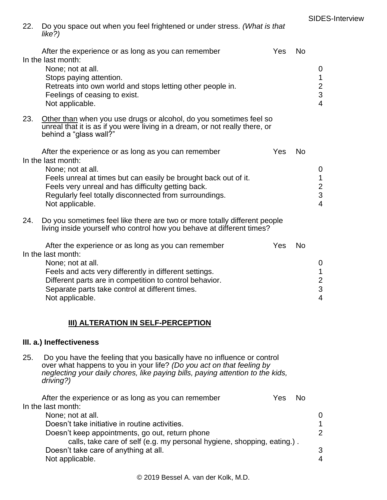| 22. Do you space out when you feel frightened or under stress. (What is that |  |
|------------------------------------------------------------------------------|--|
| like?)                                                                       |  |

|     | After the experience or as long as you can remember<br>In the last month:<br>None; not at all.<br>Stops paying attention.<br>Retreats into own world and stops letting other people in.<br>Feelings of ceasing to exist.<br>Not applicable.                                                          | Yes | <b>No</b> | 0<br>1<br>$\frac{2}{3}$<br>$\overline{4}$                 |
|-----|------------------------------------------------------------------------------------------------------------------------------------------------------------------------------------------------------------------------------------------------------------------------------------------------------|-----|-----------|-----------------------------------------------------------|
| 23. | Other than when you use drugs or alcohol, do you sometimes feel so<br>unreal that it is as if you were living in a dream, or not really there, or<br>behind a "glass wall?"                                                                                                                          |     |           |                                                           |
|     | After the experience or as long as you can remember<br>In the last month:<br>None; not at all.<br>Feels unreal at times but can easily be brought back out of it.<br>Feels very unreal and has difficulty getting back.<br>Regularly feel totally disconnected from surroundings.<br>Not applicable. | Yes | <b>No</b> | $\mathbf 0$<br>1<br>$\overline{c}$<br>3<br>$\overline{4}$ |
| 24. | Do you sometimes feel like there are two or more totally different people<br>living inside yourself who control how you behave at different times?                                                                                                                                                   |     |           |                                                           |
|     | After the experience or as long as you can remember<br>In the last month:<br>None; not at all.<br>Feels and acts very differently in different settings.<br>Different parts are in competition to control behavior.<br>Separate parts take control at different times.<br>Not applicable.            | Yes | <b>No</b> | $\mathbf 0$<br>1<br>$\overline{c}$<br>3<br>$\overline{4}$ |

#### **III) ALTERATION IN SELF-PERCEPTION**

#### **III. a.) Ineffectiveness**

25. Do you have the feeling that you basically have no influence or control over what happens to you in your life? *(Do you act on that feeling by neglecting your daily chores, like paying bills, paying attention to the kids, driving?)*

| After the experience or as long as you can remember                     | Yes | N٥ |                          |
|-------------------------------------------------------------------------|-----|----|--------------------------|
| In the last month:                                                      |     |    |                          |
| None; not at all.                                                       |     |    | 0                        |
| Doesn't take initiative in routine activities.                          |     |    |                          |
| Doesn't keep appointments, go out, return phone                         |     |    | 2                        |
| calls, take care of self (e.g. my personal hygiene, shopping, eating.). |     |    |                          |
| Doesn't take care of anything at all.                                   |     |    | 3                        |
| Not applicable.                                                         |     |    | $\boldsymbol{\varDelta}$ |
|                                                                         |     |    |                          |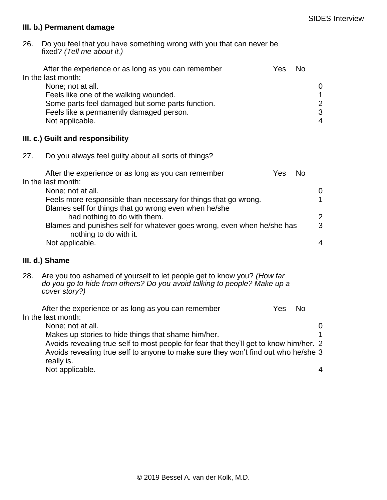#### **III. b.) Permanent damage**

26. Do you feel that you have something wrong with you that can never be fixed? *(Tell me about it.)*

|     | After the experience or as long as you can remember<br>In the last month:<br>None; not at all.<br>Feels like one of the walking wounded.<br>Some parts feel damaged but some parts function.<br>Feels like a permanently damaged person.<br>Not applicable. | Yes | <b>No</b> | $\mathbf 0$<br>$\mathbf{1}$<br>$\frac{2}{3}$<br>$\overline{4}$ |
|-----|-------------------------------------------------------------------------------------------------------------------------------------------------------------------------------------------------------------------------------------------------------------|-----|-----------|----------------------------------------------------------------|
|     | III. c.) Guilt and responsibility                                                                                                                                                                                                                           |     |           |                                                                |
| 27. | Do you always feel guilty about all sorts of things?                                                                                                                                                                                                        |     |           |                                                                |
|     | After the experience or as long as you can remember<br>In the last month:                                                                                                                                                                                   | Yes | <b>No</b> |                                                                |
|     | None; not at all.<br>Feels more responsible than necessary for things that go wrong.<br>Blames self for things that go wrong even when he/she                                                                                                               |     |           | $\boldsymbol{0}$<br>$\mathbf{1}$                               |
|     | had nothing to do with them.<br>Blames and punishes self for whatever goes wrong, even when he/she has                                                                                                                                                      |     |           | $\overline{2}$<br>3                                            |
|     | nothing to do with it.<br>Not applicable.                                                                                                                                                                                                                   |     |           | $\overline{4}$                                                 |
|     | III. d.) Shame                                                                                                                                                                                                                                              |     |           |                                                                |
| 28. | Are you too ashamed of yourself to let people get to know you? (How far<br>do you go to hide from others? Do you avoid talking to people? Make up a<br>cover story?)                                                                                        |     |           |                                                                |
|     | After the experience or as long as you can remember<br>In the last month:<br>None; not at all.                                                                                                                                                              | Yes | <b>No</b> | $\mathbf 0$                                                    |
|     | Makes up stories to hide things that shame him/her.<br>Avoids revealing true self to most people for fear that they'll get to know him/her. 2<br>Avoids revealing true self to anyone to make sure they won't find out who he/she 3                         |     |           | 1                                                              |
|     | really is.<br>Not applicable.                                                                                                                                                                                                                               |     |           | 4                                                              |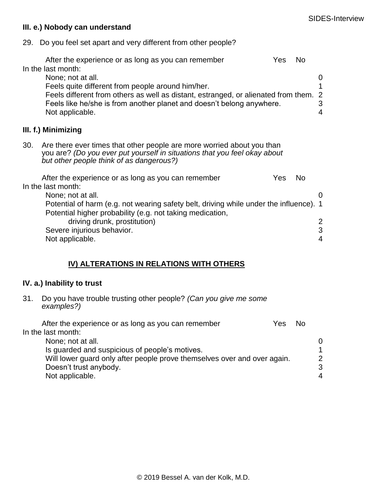#### **III. e.) Nobody can understand**

29. Do you feel set apart and very different from other people?

|                                                                                                                                                                                                | After the experience or as long as you can remember<br>In the last month:<br>None; not at all.<br>Feels quite different from people around him/her.<br>Feels different from others as well as distant, estranged, or alienated from them.<br>Feels like he/she is from another planet and doesn't belong anywhere.<br>Not applicable. | Yes | No.       | 0<br>2<br>3<br>4 |
|------------------------------------------------------------------------------------------------------------------------------------------------------------------------------------------------|---------------------------------------------------------------------------------------------------------------------------------------------------------------------------------------------------------------------------------------------------------------------------------------------------------------------------------------|-----|-----------|------------------|
|                                                                                                                                                                                                | III. f.) Minimizing                                                                                                                                                                                                                                                                                                                   |     |           |                  |
| 30.                                                                                                                                                                                            | Are there ever times that other people are more worried about you than<br>you are? (Do you ever put yourself in situations that you feel okay about<br>but other people think of as dangerous?)                                                                                                                                       |     |           |                  |
|                                                                                                                                                                                                | After the experience or as long as you can remember                                                                                                                                                                                                                                                                                   | Yes | <b>No</b> |                  |
| In the last month:<br>None; not at all.<br>Potential of harm (e.g. not wearing safety belt, driving while under the influence). 1<br>Potential higher probability (e.g. not taking medication, |                                                                                                                                                                                                                                                                                                                                       |     |           | O                |
|                                                                                                                                                                                                | driving drunk, prostitution)                                                                                                                                                                                                                                                                                                          |     |           |                  |
|                                                                                                                                                                                                | Severe injurious behavior.                                                                                                                                                                                                                                                                                                            |     |           | 3                |
|                                                                                                                                                                                                | Not applicable.                                                                                                                                                                                                                                                                                                                       |     |           | 4                |

# **IV) ALTERATIONS IN RELATIONS WITH OTHERS**

#### **IV. a.) Inability to trust**

31. Do you have trouble trusting other people? *(Can you give me some examples?)*

| After the experience or as long as you can remember                      | Yes | N <sub>0</sub> |                       |
|--------------------------------------------------------------------------|-----|----------------|-----------------------|
| In the last month:                                                       |     |                |                       |
| None; not at all.                                                        |     |                | $\Omega$              |
| Is guarded and suspicious of people's motives.                           |     |                |                       |
| Will lower guard only after people prove themselves over and over again. |     |                | $\overline{2}$        |
| Doesn't trust anybody.                                                   |     |                | 3                     |
| Not applicable.                                                          |     |                | $\boldsymbol{\Delta}$ |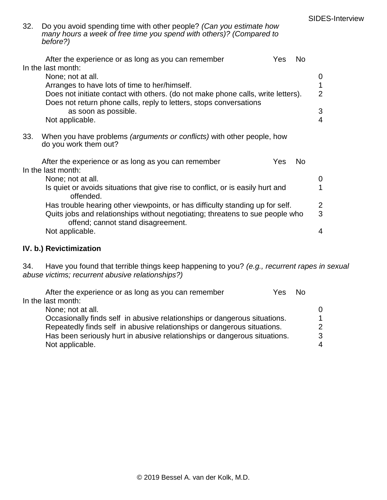| 32. Do you avoid spending time with other people? (Can you estimate how |
|-------------------------------------------------------------------------|
| many hours a week of free time you spend with others)? (Compared to     |
| before?)                                                                |

|     | After the experience or as long as you can remember<br>In the last month:                                                                                                                                                    | <b>Yes</b> | <b>No</b> |                     |
|-----|------------------------------------------------------------------------------------------------------------------------------------------------------------------------------------------------------------------------------|------------|-----------|---------------------|
|     | None; not at all.<br>Arranges to have lots of time to her/himself.<br>Does not initiate contact with others. (do not make phone calls, write letters).<br>Does not return phone calls, reply to letters, stops conversations |            |           | 2                   |
|     | as soon as possible.<br>Not applicable.                                                                                                                                                                                      |            |           | 3<br>4              |
| 33. | When you have problems <i>(arguments or conflicts)</i> with other people, how<br>do you work them out?                                                                                                                       |            |           |                     |
|     | After the experience or as long as you can remember<br>In the last month:                                                                                                                                                    | Yes        | <b>No</b> |                     |
|     | None; not at all.                                                                                                                                                                                                            |            |           | $\Omega$            |
|     | Is quiet or avoids situations that give rise to conflict, or is easily hurt and<br>offended.                                                                                                                                 |            |           |                     |
|     | Has trouble hearing other viewpoints, or has difficulty standing up for self.<br>Quits jobs and relationships without negotiating; threatens to sue people who<br>offend; cannot stand disagreement.                         |            |           | $\overline{2}$<br>3 |
|     | Not applicable.                                                                                                                                                                                                              |            |           | 4                   |

# **IV. b.) Revictimization**

34. Have you found that terrible things keep happening to you? *(e.g., recurrent rapes in sexual abuse victims; recurrent abusive relationships?)*

| After the experience or as long as you can remember                       | Yes | <b>No</b> |          |
|---------------------------------------------------------------------------|-----|-----------|----------|
| In the last month:                                                        |     |           |          |
| None; not at all.                                                         |     |           | $\Omega$ |
| Occasionally finds self in abusive relationships or dangerous situations. |     |           | 1        |
| Repeatedly finds self in abusive relationships or dangerous situations.   |     |           | 2        |
| Has been seriously hurt in abusive relationships or dangerous situations. |     |           | 3        |
| Not applicable.                                                           |     |           | 4        |
|                                                                           |     |           |          |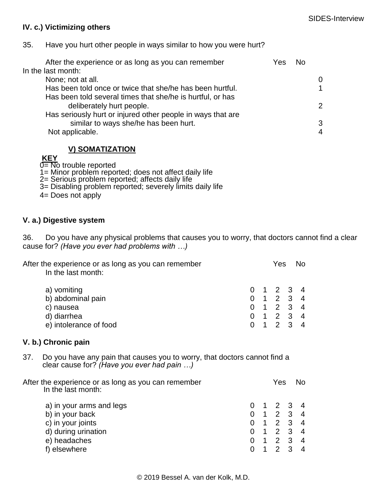### **IV. c.) Victimizing others**

35. Have you hurt other people in ways similar to how you were hurt?

| After the experience or as long as you can remember         | Yes | No. |               |
|-------------------------------------------------------------|-----|-----|---------------|
| In the last month:                                          |     |     |               |
| None; not at all.                                           |     |     | 0             |
| Has been told once or twice that she/he has been hurtful.   |     |     |               |
| Has been told several times that she/he is hurtful, or has  |     |     |               |
| deliberately hurt people.                                   |     |     | $\mathcal{P}$ |
| Has seriously hurt or injured other people in ways that are |     |     |               |
| similar to ways she/he has been hurt.                       |     |     | 3             |
| Not applicable.                                             |     |     | 4             |
|                                                             |     |     |               |

**V) SOMATIZATION**

**KEY**

 $0=$  No trouble reported

1= Minor problem reported; does not affect daily life

- 2= Serious problem reported; affects daily life
- 3= Disabling problem reported; severely limits daily life
- 4= Does not apply

### **V. a.) Digestive system**

36. Do you have any physical problems that causes you to worry, that doctors cannot find a clear cause for? *(Have you ever had problems with …)*

|     | After the experience or as long as you can remember<br>In the last month:                                               |                     |   | Yes                                                                                                                             |                   | N <sub>o</sub>      |
|-----|-------------------------------------------------------------------------------------------------------------------------|---------------------|---|---------------------------------------------------------------------------------------------------------------------------------|-------------------|---------------------|
|     | a) vomiting<br>b) abdominal pain<br>c) nausea<br>d) diarrhea<br>e) intolerance of food                                  | 0<br>$\overline{0}$ |   | $\overline{2}$<br>$\begin{array}{cccccc} 0 & 1 & 2 & 3 & 4 \\ 0 & 1 & 2 & 3 & 4 \\ 0 & 1 & 2 & 3 & 4 \end{array}$<br>$1\quad 2$ | 3<br>$\mathbf{3}$ | 4<br>$\overline{4}$ |
|     | V. b.) Chronic pain                                                                                                     |                     |   |                                                                                                                                 |                   |                     |
| 37. | Do you have any pain that causes you to worry, that doctors cannot find a<br>clear cause for? (Have you ever had pain ) |                     |   |                                                                                                                                 |                   |                     |
|     | After the experience or as long as you can remember<br>In the last month:                                               |                     |   | Yes                                                                                                                             |                   | No.                 |
|     | a) in your arms and legs                                                                                                | 0                   |   | $\overline{2}$                                                                                                                  | 3                 | 4                   |
|     | b) in your back                                                                                                         | 0                   |   | $1 \quad 2$                                                                                                                     | $\mathbf{3}$      | $\overline{4}$      |
|     | c) in your joints                                                                                                       | 0                   |   | $1\quad 2$                                                                                                                      | $\mathfrak{S}$    | $\overline{4}$      |
|     | d) during urination                                                                                                     | 0                   |   | $1 2 3$                                                                                                                         |                   | $\overline{4}$      |
|     | e) headaches                                                                                                            | $\mathbf 0$         |   | $1 \quad 2$                                                                                                                     | $\mathfrak{S}$    | $\overline{4}$      |
|     | f) elsewhere                                                                                                            | $\overline{0}$      | 1 | $\overline{2}$                                                                                                                  | 3                 | $\overline{4}$      |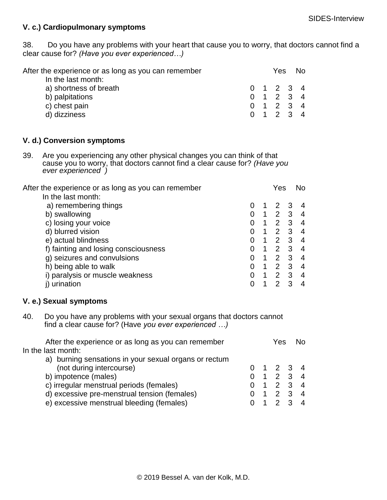### **V. c.) Cardiopulmonary symptoms**

38. Do you have any problems with your heart that cause you to worry, that doctors cannot find a clear cause for? *(Have you ever experienced…)*

| After the experience or as long as you can remember |  | Yes r     | No. |
|-----------------------------------------------------|--|-----------|-----|
| In the last month:                                  |  |           |     |
| a) shortness of breath                              |  | 0 1 2 3 4 |     |
| b) palpitations                                     |  | 0 1 2 3 4 |     |
| c) chest pain                                       |  | 0 1 2 3 4 |     |
| d) dizziness                                        |  | 0 1 2 3 4 |     |

#### **V. d.) Conversion symptoms**

39. Are you experiencing any other physical changes you can think of that cause you to worry, that doctors cannot find a clear cause for? *(Have you ever experienced )*

| After the experience or as long as you can remember |   | Yes           |   | No. |
|-----------------------------------------------------|---|---------------|---|-----|
| In the last month:                                  |   |               |   |     |
| a) remembering things                               |   | $\mathcal{P}$ |   |     |
| b) swallowing                                       |   | $\mathcal{P}$ | 3 | 4   |
| c) losing your voice                                | 1 | $\mathcal{P}$ | 3 | 4   |
| d) blurred vision                                   |   | $\mathcal{P}$ | 3 | 4   |
| e) actual blindness                                 | 1 | $\mathcal{P}$ | 3 | 4   |
| f) fainting and losing consciousness                | 1 | $\mathcal{P}$ | 3 | 4   |
| g) seizures and convulsions                         | 1 | 2             | 3 | 4   |
| h) being able to walk                               | 1 | 2             | 3 | 4   |
| i) paralysis or muscle weakness                     | 1 | 2             | 3 | 4   |
| urination                                           |   |               |   |     |
|                                                     |   |               |   |     |

#### **V. e.) Sexual symptoms**

40. Do you have any problems with your sexual organs that doctors cannot find a clear cause for? (Have *you ever experienced …)*

| In the last month:                                                                      |                |
|-----------------------------------------------------------------------------------------|----------------|
| a) burning sensations in your sexual organs or rectum                                   |                |
| (not during intercourse)<br>$0 \t1 \t2 \t3 \t4$                                         |                |
| b) impotence (males)<br>$1 \quad 2 \quad 3$<br>$\Omega$                                 | $\overline{4}$ |
| c) irregular menstrual periods (females)<br>$\begin{array}{cccc} 1 & 2 & 3 \end{array}$ | $\overline{4}$ |
| d) excessive pre-menstrual tension (females)<br>$1 \t2 \t3$                             | $\overline{4}$ |
| e) excessive menstrual bleeding (females)                                               | $\overline{4}$ |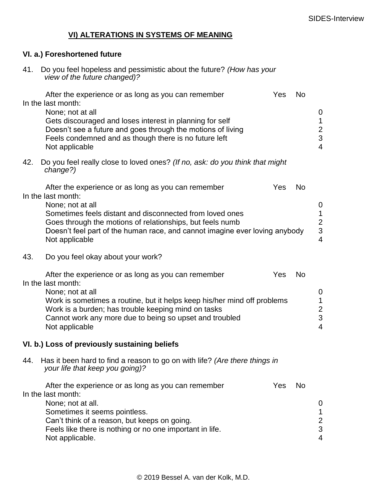# **VI) ALTERATIONS IN SYSTEMS OF MEANING**

### **VI. a.) Foreshortened future**

41. Do you feel hopeless and pessimistic about the future? *(How has your view of the future changed)?*

|     | After the experience or as long as you can remember<br>In the last month:<br>None; not at all<br>Gets discouraged and loses interest in planning for self<br>Doesn't see a future and goes through the motions of living<br>Feels condemned and as though there is no future left<br>Not applicable                     | Yes | <b>No</b> | $\mathbf 0$<br>1<br>$\overline{c}$<br>3<br>$\overline{4}$     |
|-----|-------------------------------------------------------------------------------------------------------------------------------------------------------------------------------------------------------------------------------------------------------------------------------------------------------------------------|-----|-----------|---------------------------------------------------------------|
| 42. | Do you feel really close to loved ones? (If no, ask: do you think that might<br>change?)                                                                                                                                                                                                                                |     |           |                                                               |
|     | After the experience or as long as you can remember<br>In the last month:<br>None; not at all<br>Sometimes feels distant and disconnected from loved ones<br>Goes through the motions of relationships, but feels numb<br>Doesn't feel part of the human race, and cannot imagine ever loving anybody<br>Not applicable | Yes | <b>No</b> | $\mathbf 0$<br>$\mathbf 1$<br>$\frac{2}{3}$<br>$\overline{4}$ |
| 43. | Do you feel okay about your work?                                                                                                                                                                                                                                                                                       |     |           |                                                               |
|     | After the experience or as long as you can remember<br>In the last month:<br>None; not at all<br>Work is sometimes a routine, but it helps keep his/her mind off problems<br>Work is a burden; has trouble keeping mind on tasks<br>Cannot work any more due to being so upset and troubled<br>Not applicable           | Yes | <b>No</b> | $\mathbf 0$<br>$\mathbf 1$<br>$\frac{2}{3}$<br>$\overline{4}$ |
|     |                                                                                                                                                                                                                                                                                                                         |     |           |                                                               |
|     | VI. b.) Loss of previously sustaining beliefs                                                                                                                                                                                                                                                                           |     |           |                                                               |
| 44. | Has it been hard to find a reason to go on with life? (Are there things in<br>your life that keep you going)?                                                                                                                                                                                                           |     |           |                                                               |